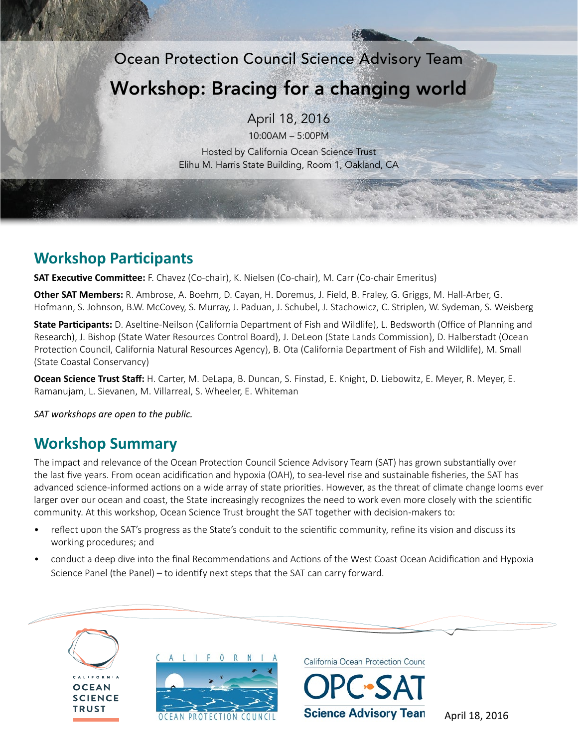Ocean Protection Council Science Advisory Team

# Workshop: Bracing for a changing world

April 18, 2016

10:00AM – 5:00PM

Hosted by California Ocean Science Trust Elihu M. Harris State Building, Room 1, Oakland, CA

# **Workshop Participants**

**SAT Executive Committee:** F. Chavez (Co-chair), K. Nielsen (Co-chair), M. Carr (Co-chair Emeritus)

**Other SAT Members:** R. Ambrose, A. Boehm, D. Cayan, H. Doremus, J. Field, B. Fraley, G. Griggs, M. Hall-Arber, G. Hofmann, S. Johnson, B.W. McCovey, S. Murray, J. Paduan, J. Schubel, J. Stachowicz, C. Striplen, W. Sydeman, S. Weisberg

**State Participants:** D. Aseltine-Neilson (California Department of Fish and Wildlife), L. Bedsworth (Office of Planning and Research), J. Bishop (State Water Resources Control Board), J. DeLeon (State Lands Commission), D. Halberstadt (Ocean Protection Council, California Natural Resources Agency), B. Ota (California Department of Fish and Wildlife), M. Small (State Coastal Conservancy)

**Ocean Science Trust Staff:** H. Carter, M. DeLapa, B. Duncan, S. Finstad, E. Knight, D. Liebowitz, E. Meyer, R. Meyer, E. Ramanujam, L. Sievanen, M. Villarreal, S. Wheeler, E. Whiteman

*SAT workshops are open to the public.*

# **Workshop Summary**

The impact and relevance of the Ocean Protection Council Science Advisory Team (SAT) has grown substantially over the last five years. From ocean acidification and hypoxia (OAH), to sea-level rise and sustainable fisheries, the SAT has advanced science-informed actions on a wide array of state priorities. However, as the threat of climate change looms ever larger over our ocean and coast, the State increasingly recognizes the need to work even more closely with the scientific community. At this workshop, Ocean Science Trust brought the SAT together with decision-makers to:

- reflect upon the SAT's progress as the State's conduit to the scientific community, refine its vision and discuss its working procedures; and
- conduct a deep dive into the final Recommendations and Actions of the West Coast Ocean Acidification and Hypoxia Science Panel (the Panel) – to identify next steps that the SAT can carry forward.